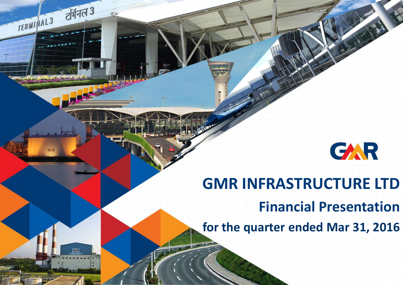

# **GMR INFRASTRUCTURE LTD**

टर्मिनल 3

 $G$  R

TERMI AL3

**Financial Presentation**

**for the quarter ended Mar 31, 2016**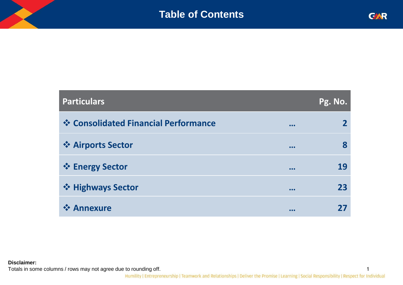1

| <b>Particulars</b>                   |                         | <u> Pg. No.<sub> </sub></u> |
|--------------------------------------|-------------------------|-----------------------------|
| ❖ Consolidated Financial Performance | $\bullet\bullet\bullet$ | $\mathbf{2}$                |
| ❖ Airports Sector                    | • • •                   | 8                           |
| ❖ Energy Sector                      | • • •                   | 19                          |
| ❖ Highways Sector                    | • • •                   | 23                          |
| ❖ Annexure                           | • • •                   | 77                          |

**Disclaimer:** 

Totals in some columns / rows may not agree due to rounding off.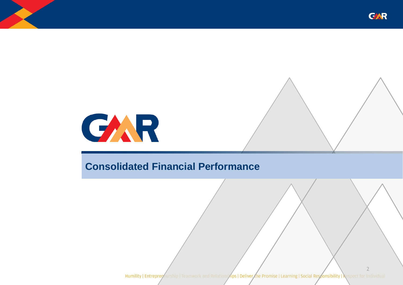

2



### **Consolidated Financial Performance**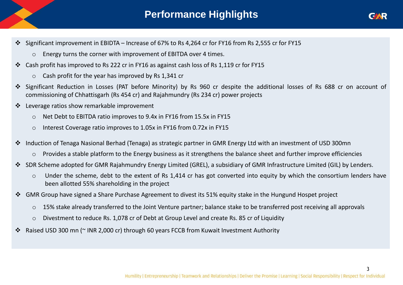### **Performance Highlights**



- Significant improvement in EBIDTA Increase of 67% to Rs 4,264 cr for FY16 from Rs 2,555 cr for FY15
	- o Energy turns the corner with improvement of EBITDA over 4 times.
- Cash profit has improved to Rs 222 cr in FY16 as against cash loss of Rs 1,119 cr for FY15
	- o Cash profit for the year has improved by Rs 1,341 cr
- Significant Reduction in Losses (PAT before Minority) by Rs 960 cr despite the additional losses of Rs 688 cr on account of commissioning of Chhattisgarh (Rs 454 cr) and Rajahmundry (Rs 234 cr) power projects
- Leverage ratios show remarkable improvement
	- o Net Debt to EBITDA ratio improves to 9.4x in FY16 from 15.5x in FY15
	- o Interest Coverage ratio improves to 1.05x in FY16 from 0.72x in FY15
- Induction of Tenaga Nasional Berhad (Tenaga) as strategic partner in GMR Energy Ltd with an investment of USD 300mn
	- o Provides a stable platform to the Energy business as it strengthens the balance sheet and further improve efficiencies
- SDR Scheme adopted for GMR Rajahmundry Energy Limited (GREL), a subsidiary of GMR Infrastructure Limited (GIL) by Lenders.
	- o Under the scheme, debt to the extent of Rs 1,414 cr has got converted into equity by which the consortium lenders have been allotted 55% shareholding in the project
- GMR Group have signed a Share Purchase Agreement to divest its 51% equity stake in the Hungund Hospet project
	- o 15% stake already transferred to the Joint Venture partner; balance stake to be transferred post receiving all approvals
	- o Divestment to reduce Rs. 1,078 cr of Debt at Group Level and create Rs. 85 cr of Liquidity
- Raised USD 300 mn (~ INR 2,000 cr) through 60 years FCCB from Kuwait Investment Authority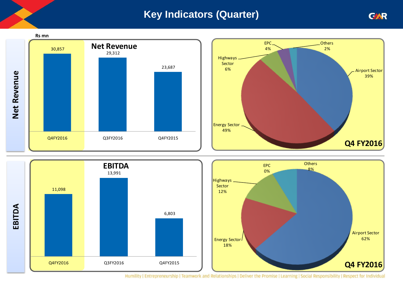### **Key Indicators (Quarter)**







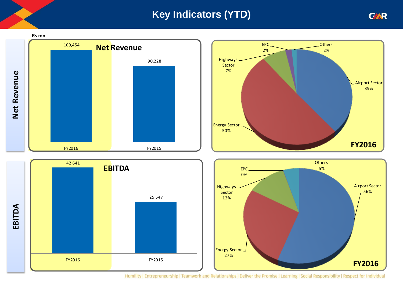### **Key Indicators (YTD)**





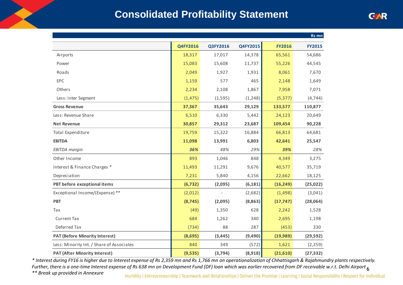### **Consolidated Profitability Statement**

| Rs mn                                     |          |          |          |               |               |  |  |  |
|-------------------------------------------|----------|----------|----------|---------------|---------------|--|--|--|
|                                           | Q4FY2016 | Q3FY2016 | Q4FY2015 | <b>FY2016</b> | <b>FY2015</b> |  |  |  |
| Airports                                  | 18,317   | 17,017   | 14,378   | 65,561        | 54,686        |  |  |  |
| Power                                     | 15,083   | 15,608   | 11,737   | 55,226        | 44,545        |  |  |  |
| Roads                                     | 2,049    | 1,927    | 1,931    | 8,061         | 7,670         |  |  |  |
| EPC                                       | 1,159    | 577      | 465      | 2,148         | 1,649         |  |  |  |
| Others                                    | 2,234    | 2,108    | 1,867    | 7,958         | 7,071         |  |  |  |
| Less: Inter Segment                       | (1, 475) | (1, 595) | (1, 248) | (5, 377)      | (4, 744)      |  |  |  |
| <b>Gross Revenue</b>                      | 37,367   | 35,643   | 29,129   | 133,577       | 110,877       |  |  |  |
| Less: Revenue Share                       | 6,510    | 6,330    | 5,442    | 24,123        | 20,649        |  |  |  |
| <b>Net Revenue</b>                        | 30,857   | 29,312   | 23,687   | 109,454       | 90,228        |  |  |  |
| Total Expenditure                         | 19,759   | 15,322   | 16,884   | 66,813        | 64,681        |  |  |  |
| <b>EBITDA</b>                             | 11,098   | 13,991   | 6,803    | 42,641        | 25,547        |  |  |  |
| <b>EBITDA</b> margin                      | 36%      | 48%      | 29%      | 39%           | 28%           |  |  |  |
| Other Income                              | 893      | 1,046    | 848      | 4,349         | 3,275         |  |  |  |
| Interest & Finance Charges *              | 11,493   | 11,291   | 9,676    | 40,577        | 35,719        |  |  |  |
| Depreciation                              | 7,231    | 5,840    | 4,156    | 22,662        | 18,125        |  |  |  |
| PBT before exceptional items              | (6, 732) | (2,095)  | (6, 181) | (16, 249)     | (25, 022)     |  |  |  |
| Exceptional Income/(Expense) **           | (2,012)  |          | (2,682)  | (1,498)       | (3,041)       |  |  |  |
| <b>PBT</b>                                | (8, 745) | (2,095)  | (8,863)  | (17, 747)     | (28,064)      |  |  |  |
| Tax                                       | (49)     | 1,350    | 628      | 2,242         | 1,528         |  |  |  |
| <b>Current Tax</b>                        | 684      | 1,262    | 340      | 2,695         | 1,198         |  |  |  |
| Deferred Tax                              | (734)    | 88       | 287      | (453)         | 330           |  |  |  |
| <b>PAT (Before Minority Interest)</b>     | (8,695)  | (3, 445) | (9,490)  | (19,989)      | (29, 592)     |  |  |  |
| Less: Minority Int. / Share of Associates | 840      | 349      | (572)    | 1,621         | (2, 259)      |  |  |  |
| <b>PAT (After Minority Interest)</b>      | (9,535)  | (3, 794) | (8,918)  | (21,610)      | (27, 332)     |  |  |  |

6 *Further, there is a one-time Interest expense of Rs 638 mn on Development Fund (DF) loan which was earlier recovered from DF receivable w.r.t. Delhi Airport \* Interest during FY16 is higher due to Interest expense of Rs 2,359 mn and Rs 1,766 mn on operationalization of Chhattisgarh & Rajahmundry plants respectively.* 

*\*\* Break up provided in Annexure*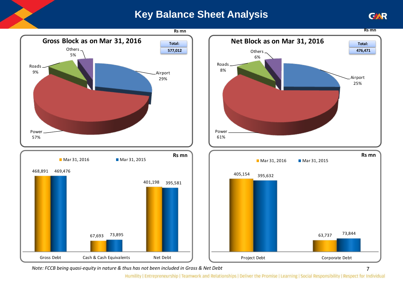### **Key Balance Sheet Analysis**



*Note: FCCB being quasi-equity in nature & thus has not been included in Gross & Net Debt*

Humility | Entrepreneurship | Teamwork and Relationships | Deliver the Promise | Learning | Social Responsibility | Respect for Individual



**Rs mn**

Airport 25%

**476,471** 

7

**Rs mn**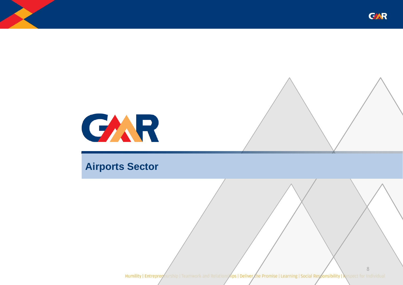



### **Airports Sector**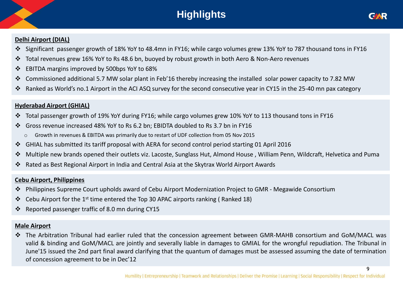## **Highlights**



9

#### **Delhi Airport (DIAL)**

- Significant passenger growth of 18% YoY to 48.4mn in FY16; while cargo volumes grew 13% YoY to 787 thousand tons in FY16
- Total revenues grew 16% YoY to Rs 48.6 bn, buoyed by robust growth in both Aero & Non-Aero revenues
- EBITDA margins improved by 500bps YoY to 68%
- Commissioned additional 5.7 MW solar plant in Feb'16 thereby increasing the installed solar power capacity to 7.82 MW
- Ranked as World's no.1 Airport in the ACI ASQ survey for the second consecutive year in CY15 in the 25-40 mn pax category

#### **Hyderabad Airport (GHIAL)**

- Total passenger growth of 19% YoY during FY16; while cargo volumes grew 10% YoY to 113 thousand tons in FY16
- Gross revenue increased 48% YoY to Rs 6.2 bn; EBIDTA doubled to Rs 3.7 bn in FY16
	- o Growth in revenues & EBITDA was primarily due to restart of UDF collection from 05 Nov 2015
- GHIAL has submitted its tariff proposal with AERA for second control period starting 01 April 2016
- Multiple new brands opened their outlets viz. Lacoste, Sunglass Hut, Almond House , William Penn, Wildcraft, Helvetica and Puma
- Rated as Best Regional Airport in India and Central Asia at the Skytrax World Airport Awards

#### **Cebu Airport, Philippines**

- Philippines Supreme Court upholds award of Cebu Airport Modernization Project to GMR Megawide Consortium
- $\cdot \cdot$  Cebu Airport for the 1<sup>st</sup> time entered the Top 30 APAC airports ranking (Ranked 18)
- Reported passenger traffic of 8.0 mn during CY15

#### **Male Airport**

 The Arbitration Tribunal had earlier ruled that the concession agreement between GMR-MAHB consortium and GoM/MACL was valid & binding and GoM/MACL are jointly and severally liable in damages to GMIAL for the wrongful repudiation. The Tribunal in June'15 issued the 2nd part final award clarifying that the quantum of damages must be assessed assuming the date of termination of concession agreement to be in Dec'12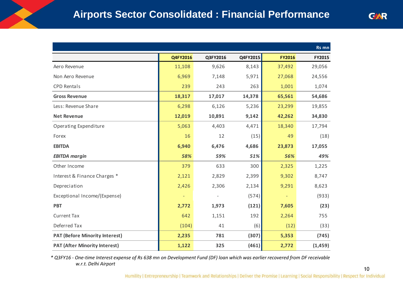|                                       |          |          |          |               | Rs mn    |
|---------------------------------------|----------|----------|----------|---------------|----------|
|                                       | Q4FY2016 | Q3FY2016 | Q4FY2015 | <b>FY2016</b> | FY2015   |
| Aero Revenue                          | 11,108   | 9,626    | 8,143    | 37,492        | 29,056   |
| Non Aero Revenue                      | 6,969    | 7,148    | 5,971    | 27,068        | 24,556   |
| <b>CPD Rentals</b>                    | 239      | 243      | 263      | 1,001         | 1,074    |
| <b>Gross Revenue</b>                  | 18,317   | 17,017   | 14,378   | 65,561        | 54,686   |
| Less: Revenue Share                   | 6,298    | 6,126    | 5,236    | 23,299        | 19,855   |
| <b>Net Revenue</b>                    | 12,019   | 10,891   | 9,142    | 42,262        | 34,830   |
| Operating Expenditure                 | 5,063    | 4,403    | 4,471    | 18,340        | 17,794   |
| Forex                                 | 16       | 12       | (15)     | 49            | (18)     |
| <b>EBITDA</b>                         | 6,940    | 6,476    | 4,686    | 23,873        | 17,055   |
| <b>EBITDA margin</b>                  | 58%      | 59%      | 51%      | 56%           | 49%      |
| Other Income                          | 379      | 633      | 300      | 2,325         | 1,225    |
| Interest & Finance Charges *          | 2,121    | 2,829    | 2,399    | 9,302         | 8,747    |
| Depreciation                          | 2,426    | 2,306    | 2,134    | 9,291         | 8,623    |
| Exceptional Income/(Expense)          |          |          | (574)    |               | (933)    |
| <b>PBT</b>                            | 2,772    | 1,973    | (121)    | 7,605         | (23)     |
| <b>Current Tax</b>                    | 642      | 1,151    | 192      | 2,264         | 755      |
| Deferred Tax                          | (104)    | 41       | (6)      | (12)          | (33)     |
| <b>PAT (Before Minority Interest)</b> | 2,235    | 781      | (307)    | 5,353         | (745)    |
| <b>PAT (After Minority Interest)</b>  | 1,122    | 325      | (461)    | 2,772         | (1, 459) |

*\* Q3FY16 - One-time Interest expense of Rs 638 mn on Development Fund (DF) loan which was earlier recovered from DF receivable w.r.t. Delhi Airport*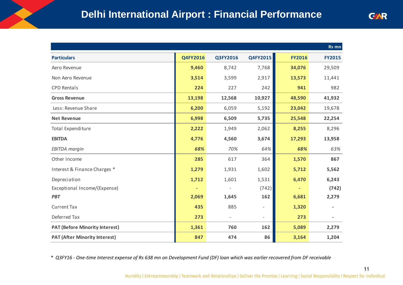|                                       |          |          |                          |               | Rs mn                    |
|---------------------------------------|----------|----------|--------------------------|---------------|--------------------------|
| <b>Particulars</b>                    | Q4FY2016 | Q3FY2016 | Q4FY2015                 | <b>FY2016</b> | <b>FY2015</b>            |
| Aero Revenue                          | 9,460    | 8,742    | 7,768                    | 34,076        | 29,509                   |
| Non Aero Revenue                      | 3,514    | 3,599    | 2,917                    | 13,573        | 11,441                   |
| <b>CPD Rentals</b>                    | 224      | 227      | 242                      | 941           | 982                      |
| <b>Gross Revenue</b>                  | 13,198   | 12,568   | 10,927                   | 48,590        | 41,932                   |
| Less: Revenue Share                   | 6,200    | 6,059    | 5,192                    | 23,042        | 19,678                   |
| <b>Net Revenue</b>                    | 6,998    | 6,509    | 5,735                    | 25,548        | 22,254                   |
| <b>Total Expenditure</b>              | 2,222    | 1,949    | 2,062                    | 8,255         | 8,296                    |
| <b>EBITDA</b>                         | 4,776    | 4,560    | 3,674                    | 17,293        | 13,958                   |
| <b>EBITDA</b> margin                  | 68%      | 70%      | 64%                      | 68%           | 63%                      |
| Other Income                          | 285      | 617      | 364                      | 1,570         | 867                      |
| Interest & Finance Charges *          | 1,279    | 1,931    | 1,602                    | 5,712         | 5,562                    |
| Depreciation                          | 1,712    | 1,601    | 1,531                    | 6,470         | 6,243                    |
| Exceptional Income/(Expense)          |          |          | (742)                    |               | (742)                    |
| <b>PBT</b>                            | 2,069    | 1,645    | 162                      | 6,681         | 2,279                    |
| <b>Current Tax</b>                    | 435      | 885      | $\overline{\phantom{a}}$ | 1,320         |                          |
| Deferred Tax                          | 273      |          | $\overline{\phantom{a}}$ | 273           | $\overline{\phantom{a}}$ |
| <b>PAT (Before Minority Interest)</b> | 1,361    | 760      | 162                      | 5,089         | 2,279                    |
| <b>PAT (After Minority Interest)</b>  | 847      | 474      | 86                       | 3,164         | 1,204                    |
|                                       |          |          |                          |               |                          |

*\* Q3FY16 - One-time Interest expense of Rs 638 mn on Development Fund (DF) loan which was earlier recovered from DF receivable*

11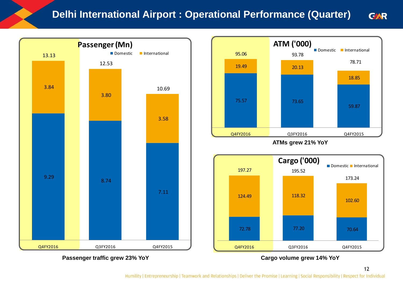#### **Delhi International Airport : Operational Performance (Quarter) GAR**



**Passenger traffic grew 23% YoY Cargo volume grew 14% YoY**



**ATMs grew 21% YoY**

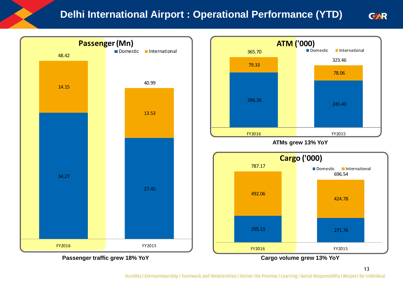### **Delhi International Airport : Operational Performance (YTD)**







**GAR**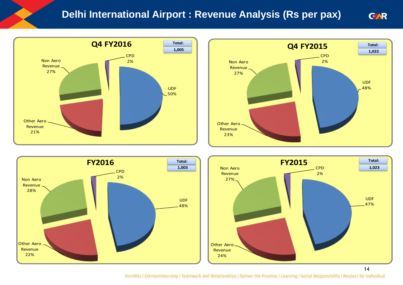#### **Delhi International Airport : Revenue Analysis (Rs per pax) GAR**









14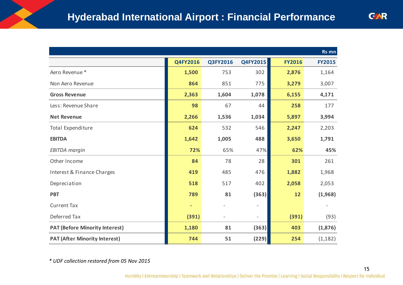|                |          |                          |               | Rs mn         |
|----------------|----------|--------------------------|---------------|---------------|
| Q4FY2016       | Q3FY2016 | Q4FY2015                 | <b>FY2016</b> | <b>FY2015</b> |
| 1,500          | 753      | 302                      | 2,876         | 1,164         |
| 864            | 851      | 775                      | 3,279         | 3,007         |
| 2,363          | 1,604    | 1,078                    | 6,155         | 4,171         |
| 98             | 67       | 44                       | 258           | 177           |
| 2,266          | 1,536    | 1,034                    | 5,897         | 3,994         |
| 624            | 532      | 546                      | 2,247         | 2,203         |
| 1,642          | 1,005    | 488                      | 3,650         | 1,791         |
| 72%            | 65%      | 47%                      | 62%           | 45%           |
| 84             | 78       | 28                       | 301           | 261           |
| 419            | 485      | 476                      | 1,882         | 1,968         |
| 518            | 517      | 402                      | 2,058         | 2,053         |
| 789            | 81       | (363)                    | 12            | (1,968)       |
| $\blacksquare$ |          | $\overline{\phantom{a}}$ |               |               |
| (391)          |          | $\overline{\phantom{a}}$ | (391)         | (93)          |
| 1,180          | 81       | (363)                    | 403           | (1,876)       |
| 744            | 51       | (229)                    | 254           | (1, 182)      |
|                |          |                          |               |               |

*\* UDF collection restored from 05 Nov 2015*

15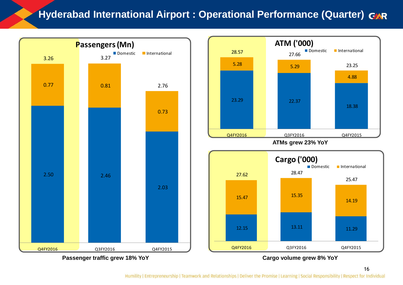### **Hyderabad International Airport : Operational Performance (Quarter)**



**Passenger traffic grew 18% YoY Cargo volume grew 8% YoY**

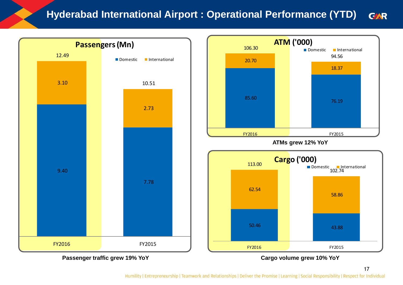#### **Hyderabad International Airport : Operational Performance (YTD) GAR**







17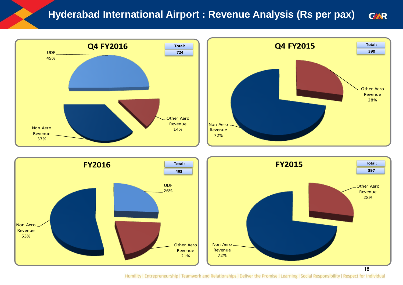#### **Hyderabad International Airport : Revenue Analysis (Rs per pax) GAR**









18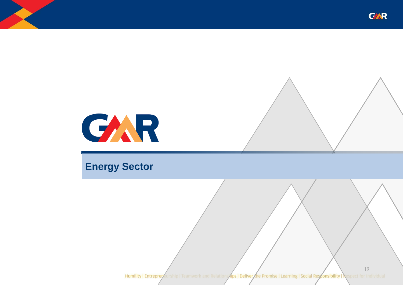



### **Energy Sector**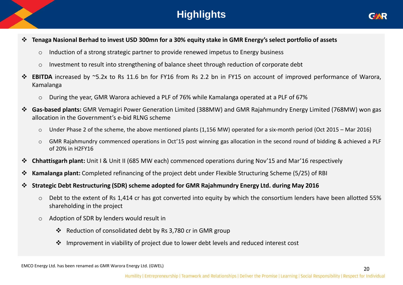### **Highlights**



- Tenaga Nasional Berhad to invest USD 300mn for a 30% equity stake in GMR Energy's select portfolio of assets
	- o Induction of a strong strategic partner to provide renewed impetus to Energy business
	- o Investment to result into strengthening of balance sheet through reduction of corporate debt
- **EBITDA** increased by ~5.2x to Rs 11.6 bn for FY16 from Rs 2.2 bn in FY15 on account of improved performance of Warora, Kamalanga
	- o During the year, GMR Warora achieved a PLF of 76% while Kamalanga operated at a PLF of 67%
- **Gas-based plants:** GMR Vemagiri Power Generation Limited (388MW) and GMR Rajahmundry Energy Limited (768MW) won gas allocation in the Government's e-bid RLNG scheme
	- o Under Phase 2 of the scheme, the above mentioned plants (1,156 MW) operated for a six-month period (Oct 2015 Mar 2016)
	- o GMR Rajahmundry commenced operations in Oct'15 post winning gas allocation in the second round of bidding & achieved a PLF of 20% in H2FY16
- **Chhattisgarh plant:** Unit I & Unit II (685 MW each) commenced operations during Nov'15 and Mar'16 respectively
- **Kamalanga plant:** Completed refinancing of the project debt under Flexible Structuring Scheme (5/25) of RBI
- **Strategic Debt Restructuring (SDR) scheme adopted for GMR Rajahmundry Energy Ltd. during May 2016**
	- o Debt to the extent of Rs 1,414 cr has got converted into equity by which the consortium lenders have been allotted 55% shareholding in the project
	- o Adoption of SDR by lenders would result in
		- Reduction of consolidated debt by Rs 3,780 cr in GMR group
		- $\cdot$  Improvement in viability of project due to lower debt levels and reduced interest cost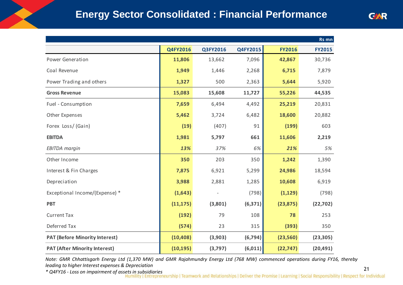|                                       |           |          |          |               | Rs mn         |
|---------------------------------------|-----------|----------|----------|---------------|---------------|
|                                       | Q4FY2016  | Q3FY2016 | Q4FY2015 | <b>FY2016</b> | <b>FY2015</b> |
| Power Generation                      | 11,806    | 13,662   | 7,096    | 42,867        | 30,736        |
| Coal Revenue                          | 1,949     | 1,446    | 2,268    | 6,715         | 7,879         |
| Power Trading and others              | 1,327     | 500      | 2,363    | 5,644         | 5,920         |
| <b>Gross Revenue</b>                  | 15,083    | 15,608   | 11,727   | 55,226        | 44,535        |
| Fuel - Consumption                    | 7,659     | 6,494    | 4,492    | 25,219        | 20,831        |
| Other Expenses                        | 5,462     | 3,724    | 6,482    | 18,600        | 20,882        |
| Forex Loss/(Gain)                     | (19)      | (407)    | 91       | (199)         | 603           |
| <b>EBITDA</b>                         | 1,981     | 5,797    | 661      | 11,606        | 2,219         |
| <b>EBITDA</b> margin                  | 13%       | 37%      | 6%       | 21%           | 5%            |
| Other Income                          | 350       | 203      | 350      | 1,242         | 1,390         |
| Interest & Fin Charges                | 7,875     | 6,921    | 5,299    | 24,986        | 18,594        |
| Depreciation                          | 3,988     | 2,881    | 1,285    | 10,608        | 6,919         |
| Exceptional Income/(Expense) *        | (1,643)   |          | (798)    | (1, 129)      | (798)         |
| <b>PBT</b>                            | (11, 175) | (3,801)  | (6, 371) | (23, 875)     | (22, 702)     |
| <b>Current Tax</b>                    | (192)     | 79       | 108      | 78            | 253           |
| Deferred Tax                          | (574)     | 23       | 315      | (393)         | 350           |
| <b>PAT (Before Minority Interest)</b> | (10, 408) | (3,903)  | (6, 794) | (23, 560)     | (23, 305)     |
| <b>PAT (After Minority Interest)</b>  | (10, 195) | (3,797)  | (6,011)  | (22, 747)     | (20, 491)     |

Note: GMR Chhattisgarh Energy Ltd (1,370 MW) and GMR Rajahmundry Energy Ltd (768 MW) commenced operations during FY16, thereby *leading to higher Interest expenses & Depreciation*

*\* Q4FY16 - Loss on impairment of assets in subsidiaries*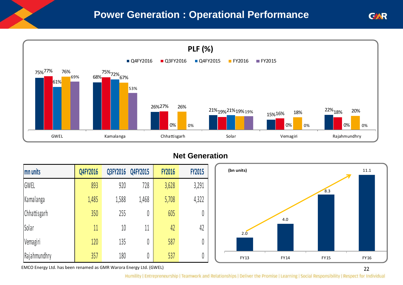### **Power Generation : Operational Performance**



#### **Net Generation**

| mn units     | Q4FY2016 | Q3FY2016 | Q4FY2015 | <b>FY2016</b> | <b>FY2015</b> |
|--------------|----------|----------|----------|---------------|---------------|
| GWEL         | 893      | 920      | 728      | 3,628         | 3,291         |
| Kamalanga    | 1,485    | 1,588    | 1,468    | 5,708         | 4,322         |
| Chhattisgarh | 350      | 255      | 0        | 605           | 0             |
| Solar        | 11       | 10       | 11       | 42            | 42            |
| Vemagiri     | 120      | 135      | 0        | 587           | 0             |
| Rajahmundhry | 357      | 180      | 0        | 537           | 0             |



**GAR** 

EMCO Energy Ltd. has been renamed as GMR Warora Energy Ltd. (GWEL)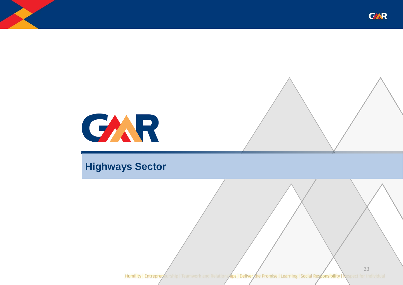



### **Highways Sector**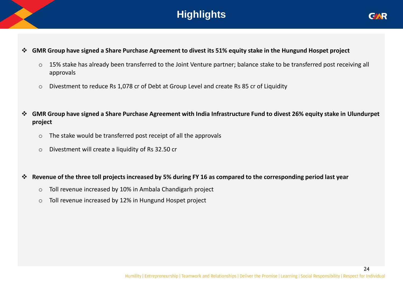### **Highlights**



24

#### **GMR Group have signed a Share Purchase Agreement to divest its 51% equity stake in the Hungund Hospet project**

- o 15% stake has already been transferred to the Joint Venture partner; balance stake to be transferred post receiving all approvals
- o Divestment to reduce Rs 1,078 cr of Debt at Group Level and create Rs 85 cr of Liquidity
- **GMR Group have signed a Share Purchase Agreement with India Infrastructure Fund to divest 26% equity stake in Ulundurpet project**
	- o The stake would be transferred post receipt of all the approvals
	- o Divestment will create a liquidity of Rs 32.50 cr

#### **Revenue of the three toll projects increased by 5% during FY 16 as compared to the corresponding period last year**

- o Toll revenue increased by 10% in Ambala Chandigarh project
- o Toll revenue increased by 12% in Hungund Hospet project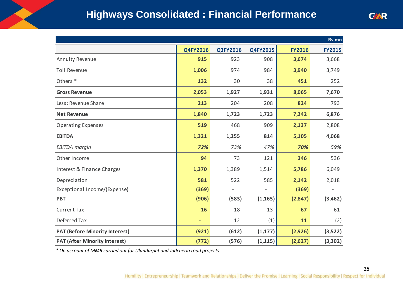### **Highways Consolidated : Financial Performance**

|                                                                            |                              |          |          |               | Rs mn         |  |  |
|----------------------------------------------------------------------------|------------------------------|----------|----------|---------------|---------------|--|--|
|                                                                            | Q4FY2016                     | Q3FY2016 | Q4FY2015 | <b>FY2016</b> | <b>FY2015</b> |  |  |
| Annuity Revenue                                                            | 915                          | 923      | 908      | 3,674         | 3,668         |  |  |
| <b>Toll Revenue</b>                                                        | 1,006                        | 974      | 984      | 3,940         | 3,749         |  |  |
| Others <sup>*</sup>                                                        | 132                          | 30       | 38       | 451           | 252           |  |  |
| <b>Gross Revenue</b>                                                       | 2,053                        | 1,927    | 1,931    | 8,065         | 7,670         |  |  |
| Less: Revenue Share                                                        | 213                          | 204      | 208      | 824           | 793           |  |  |
| <b>Net Revenue</b>                                                         | 1,840                        | 1,723    | 1,723    | 7,242         | 6,876         |  |  |
| <b>Operating Expenses</b>                                                  | 519                          | 468      | 909      | 2,137         | 2,808         |  |  |
| <b>EBITDA</b>                                                              | 1,321                        | 1,255    | 814      | 5,105         | 4,068         |  |  |
| <b>EBITDA</b> margin                                                       | 72%                          | 73%      | 47%      | 70%           | 59%           |  |  |
| Other Income                                                               | 94                           | 73       | 121      | 346           | 536           |  |  |
| Interest & Finance Charges                                                 | 1,370                        | 1,389    | 1,514    | 5,786         | 6,049         |  |  |
| Depreciation                                                               | 581                          | 522      | 585      | 2,142         | 2,018         |  |  |
| Exceptional Income/(Expense)                                               | (369)                        |          |          | (369)         |               |  |  |
| <b>PBT</b>                                                                 | (906)                        | (583)    | (1, 165) | (2,847)       | (3,462)       |  |  |
| <b>Current Tax</b>                                                         | 16                           | 18       | 13       | 67            | 61            |  |  |
| Deferred Tax                                                               | $\qquad \qquad \blacksquare$ | 12       | (1)      | 11            | (2)           |  |  |
| <b>PAT (Before Minority Interest)</b>                                      | (921)                        | (612)    | (1, 177) | (2,926)       | (3,522)       |  |  |
| <b>PAT (After Minority Interest)</b>                                       | (772)                        | (576)    | (1, 115) | (2,627)       | (3,302)       |  |  |
| * On account of MMR carried out for Ulundurpet and Jadcherla road projects |                              |          |          |               |               |  |  |

25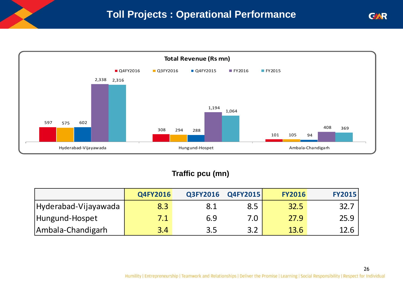

### **Traffic pcu (mn)**

|                      | Q4FY2016 | Q3FY2016 | Q4FY2015 | <b>FY2016</b> | <b>FY2015</b> |
|----------------------|----------|----------|----------|---------------|---------------|
| Hyderabad-Vijayawada | 8.3      | 8.1      | 8.5      | 32.5          | 32.7          |
| Hungund-Hospet       | 7.1      | 6.9      | 7.0      | 27.9          | 25.9          |
| Ambala-Chandigarh    | 3.4      | 3.5      | 3.2      | 13.6          | 12.6          |

26

**GAR**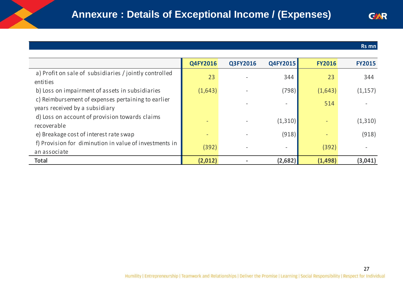#### **Rs mn**

|                                                                                      |          |          |          |               | Rs mn         |
|--------------------------------------------------------------------------------------|----------|----------|----------|---------------|---------------|
|                                                                                      |          |          |          |               |               |
|                                                                                      | Q4FY2016 | Q3FY2016 | Q4FY2015 | <b>FY2016</b> | <b>FY2015</b> |
| a) Profit on sale of subsidiaries / jointly controlled<br>entities                   | 23       |          | 344      | 23            | 344           |
| b) Loss on impairment of assets in subsidiaries                                      | (1,643)  |          | (798)    | (1,643)       | (1, 157)      |
| c) Reimbursement of expenses pertaining to earlier<br>years received by a subsidiary |          |          |          | 514           |               |
| d) Loss on account of provision towards claims<br>recoverable                        |          |          | (1,310)  |               | (1,310)       |
| e) Breakage cost of interest rate swap                                               |          |          | (918)    |               | (918)         |
| f) Provision for diminution in value of investments in<br>an associate               | (392)    |          |          | (392)         |               |
| <b>Total</b>                                                                         | (2,012)  |          | (2,682)  | (1, 498)      | (3,041)       |